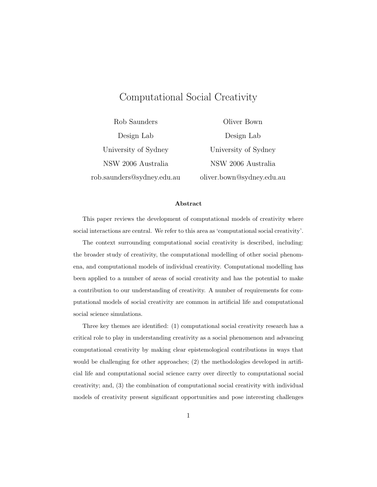# Computational Social Creativity

Rob Saunders Design Lab University of Sydney NSW 2006 Australia rob.saunders@sydney.edu.au

Oliver Bown Design Lab University of Sydney NSW 2006 Australia oliver.bown@sydney.edu.au

#### Abstract

This paper reviews the development of computational models of creativity where social interactions are central. We refer to this area as 'computational social creativity'.

The context surrounding computational social creativity is described, including: the broader study of creativity, the computational modelling of other social phenomena, and computational models of individual creativity. Computational modelling has been applied to a number of areas of social creativity and has the potential to make a contribution to our understanding of creativity. A number of requirements for computational models of social creativity are common in artificial life and computational social science simulations.

Three key themes are identified: (1) computational social creativity research has a critical role to play in understanding creativity as a social phenomenon and advancing computational creativity by making clear epistemological contributions in ways that would be challenging for other approaches; (2) the methodologies developed in artificial life and computational social science carry over directly to computational social creativity; and, (3) the combination of computational social creativity with individual models of creativity present significant opportunities and pose interesting challenges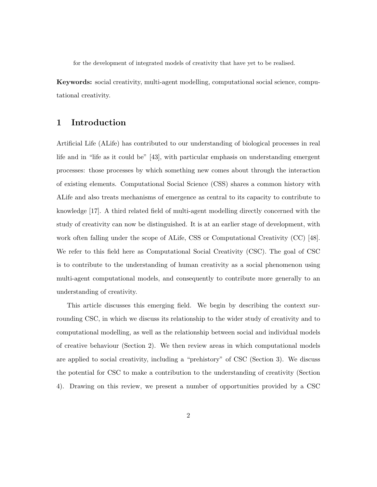for the development of integrated models of creativity that have yet to be realised.

Keywords: social creativity, multi-agent modelling, computational social science, computational creativity.

## 1 Introduction

Artificial Life (ALife) has contributed to our understanding of biological processes in real life and in "life as it could be" [43], with particular emphasis on understanding emergent processes: those processes by which something new comes about through the interaction of existing elements. Computational Social Science (CSS) shares a common history with ALife and also treats mechanisms of emergence as central to its capacity to contribute to knowledge [17]. A third related field of multi-agent modelling directly concerned with the study of creativity can now be distinguished. It is at an earlier stage of development, with work often falling under the scope of ALife, CSS or Computational Creativity (CC) [48]. We refer to this field here as Computational Social Creativity (CSC). The goal of CSC is to contribute to the understanding of human creativity as a social phenomenon using multi-agent computational models, and consequently to contribute more generally to an understanding of creativity.

This article discusses this emerging field. We begin by describing the context surrounding CSC, in which we discuss its relationship to the wider study of creativity and to computational modelling, as well as the relationship between social and individual models of creative behaviour (Section 2). We then review areas in which computational models are applied to social creativity, including a "prehistory" of CSC (Section 3). We discuss the potential for CSC to make a contribution to the understanding of creativity (Section 4). Drawing on this review, we present a number of opportunities provided by a CSC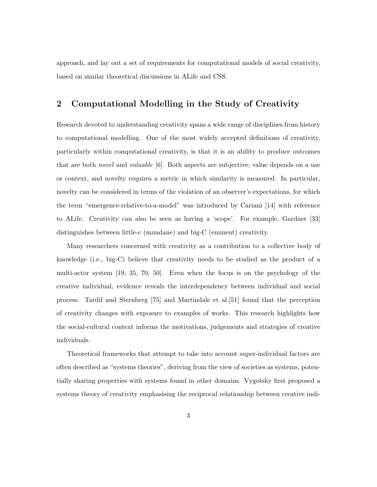approach, and lay out a set of requirements for computational models of social creativity, based on similar theoretical discussions in ALife and CSS.

### 2 Computational Modelling in the Study of Creativity

Research devoted to understanding creativity spans a wide range of disciplines from history to computational modelling. One of the most widely accepted definitions of creativity, particularly within computational creativity, is that it is an ability to produce outcomes that are both novel and valuable [6]. Both aspects are subjective; value depends on a use or context, and novelty requires a metric in which similarity is measured. In particular, novelty can be considered in terms of the violation of an observer's expectations, for which the term "emergence-relative-to-a-model" was introduced by Cariani [14] with reference to ALife. Creativity can also be seen as having a 'scope'. For example, Gardner [33] distinguishes between little-c (mundane) and big-C (eminent) creativity.

Many researchers concerned with creativity as a contribution to a collective body of knowledge (i.e., big-C) believe that creativity needs to be studied as the product of a multi-actor system [19, 35, 70, 50]. Even when the focus is on the psychology of the creative individual, evidence reveals the interdependency between individual and social process. Tardif and Sternberg [75] and Martindale et al.[51] found that the perception of creativity changes with exposure to examples of works. This research highlights how the social-cultural context informs the motivations, judgements and strategies of creative individuals.

Theoretical frameworks that attempt to take into account super-individual factors are often described as "systems theories", deriving from the view of societies as systems, potentially sharing properties with systems found in other domains. Vygotsky first proposed a systems theory of creativity emphasising the reciprocal relationship between creative indi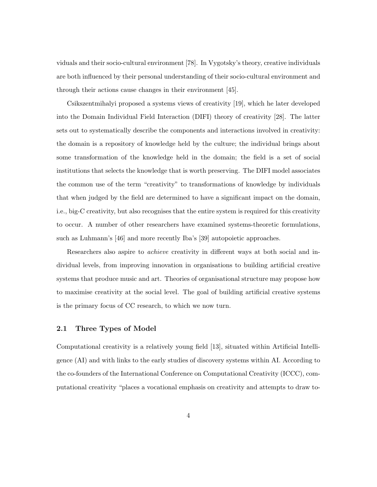viduals and their socio-cultural environment [78]. In Vygotsky's theory, creative individuals are both influenced by their personal understanding of their socio-cultural environment and through their actions cause changes in their environment [45].

Csikszentmihalyi proposed a systems views of creativity [19], which he later developed into the Domain Individual Field Interaction (DIFI) theory of creativity [28]. The latter sets out to systematically describe the components and interactions involved in creativity: the domain is a repository of knowledge held by the culture; the individual brings about some transformation of the knowledge held in the domain; the field is a set of social institutions that selects the knowledge that is worth preserving. The DIFI model associates the common use of the term "creativity" to transformations of knowledge by individuals that when judged by the field are determined to have a significant impact on the domain, i.e., big-C creativity, but also recognises that the entire system is required for this creativity to occur. A number of other researchers have examined systems-theoretic formulations, such as Luhmann's [46] and more recently Iba's [39] autopoietic approaches.

Researchers also aspire to achieve creativity in different ways at both social and individual levels, from improving innovation in organisations to building artificial creative systems that produce music and art. Theories of organisational structure may propose how to maximise creativity at the social level. The goal of building artificial creative systems is the primary focus of CC research, to which we now turn.

### 2.1 Three Types of Model

Computational creativity is a relatively young field [13], situated within Artificial Intelligence (AI) and with links to the early studies of discovery systems within AI. According to the co-founders of the International Conference on Computational Creativity (ICCC), computational creativity "places a vocational emphasis on creativity and attempts to draw to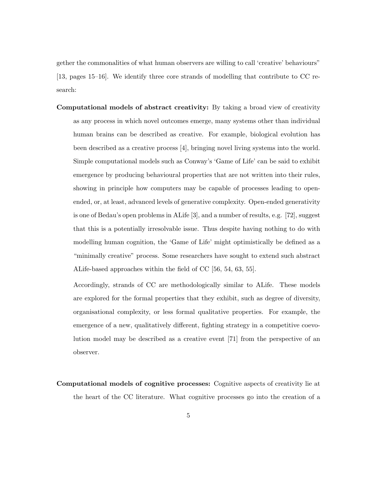gether the commonalities of what human observers are willing to call 'creative' behaviours" [13, pages 15–16]. We identify three core strands of modelling that contribute to CC research:

Computational models of abstract creativity: By taking a broad view of creativity as any process in which novel outcomes emerge, many systems other than individual human brains can be described as creative. For example, biological evolution has been described as a creative process [4], bringing novel living systems into the world. Simple computational models such as Conway's 'Game of Life' can be said to exhibit emergence by producing behavioural properties that are not written into their rules, showing in principle how computers may be capable of processes leading to openended, or, at least, advanced levels of generative complexity. Open-ended generativity is one of Bedau's open problems in ALife [3], and a number of results, e.g. [72], suggest that this is a potentially irresolvable issue. Thus despite having nothing to do with modelling human cognition, the 'Game of Life' might optimistically be defined as a "minimally creative" process. Some researchers have sought to extend such abstract ALife-based approaches within the field of CC [56, 54, 63, 55].

Accordingly, strands of CC are methodologically similar to ALife. These models are explored for the formal properties that they exhibit, such as degree of diversity, organisational complexity, or less formal qualitative properties. For example, the emergence of a new, qualitatively different, fighting strategy in a competitive coevolution model may be described as a creative event [71] from the perspective of an observer.

Computational models of cognitive processes: Cognitive aspects of creativity lie at the heart of the CC literature. What cognitive processes go into the creation of a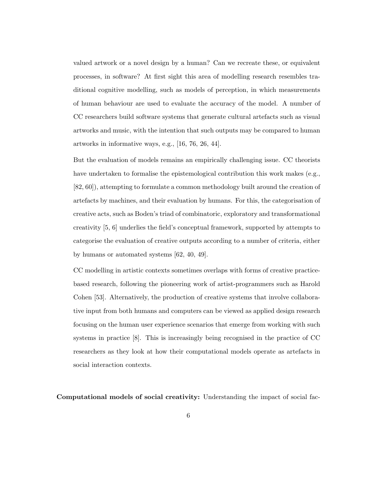valued artwork or a novel design by a human? Can we recreate these, or equivalent processes, in software? At first sight this area of modelling research resembles traditional cognitive modelling, such as models of perception, in which measurements of human behaviour are used to evaluate the accuracy of the model. A number of CC researchers build software systems that generate cultural artefacts such as visual artworks and music, with the intention that such outputs may be compared to human artworks in informative ways, e.g., [16, 76, 26, 44].

But the evaluation of models remains an empirically challenging issue. CC theorists have undertaken to formalise the epistemological contribution this work makes (e.g., [82, 60]), attempting to formulate a common methodology built around the creation of artefacts by machines, and their evaluation by humans. For this, the categorisation of creative acts, such as Boden's triad of combinatoric, exploratory and transformational creativity [5, 6] underlies the field's conceptual framework, supported by attempts to categorise the evaluation of creative outputs according to a number of criteria, either by humans or automated systems [62, 40, 49].

CC modelling in artistic contexts sometimes overlaps with forms of creative practicebased research, following the pioneering work of artist-programmers such as Harold Cohen [53]. Alternatively, the production of creative systems that involve collaborative input from both humans and computers can be viewed as applied design research focusing on the human user experience scenarios that emerge from working with such systems in practice [8]. This is increasingly being recognised in the practice of CC researchers as they look at how their computational models operate as artefacts in social interaction contexts.

Computational models of social creativity: Understanding the impact of social fac-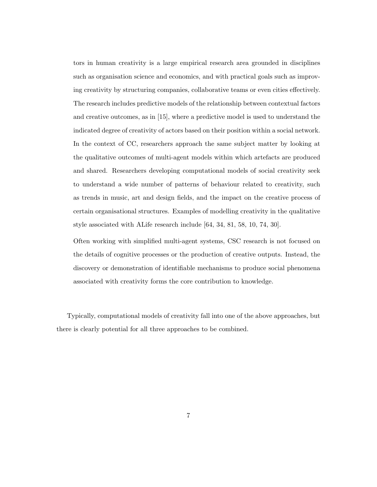tors in human creativity is a large empirical research area grounded in disciplines such as organisation science and economics, and with practical goals such as improving creativity by structuring companies, collaborative teams or even cities effectively. The research includes predictive models of the relationship between contextual factors and creative outcomes, as in [15], where a predictive model is used to understand the indicated degree of creativity of actors based on their position within a social network. In the context of CC, researchers approach the same subject matter by looking at the qualitative outcomes of multi-agent models within which artefacts are produced and shared. Researchers developing computational models of social creativity seek to understand a wide number of patterns of behaviour related to creativity, such as trends in music, art and design fields, and the impact on the creative process of certain organisational structures. Examples of modelling creativity in the qualitative style associated with ALife research include [64, 34, 81, 58, 10, 74, 30].

Often working with simplified multi-agent systems, CSC research is not focused on the details of cognitive processes or the production of creative outputs. Instead, the discovery or demonstration of identifiable mechanisms to produce social phenomena associated with creativity forms the core contribution to knowledge.

Typically, computational models of creativity fall into one of the above approaches, but there is clearly potential for all three approaches to be combined.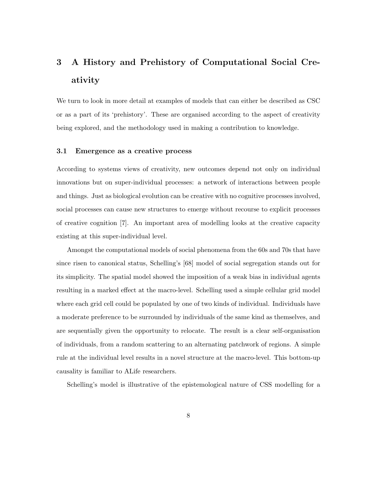# 3 A History and Prehistory of Computational Social Creativity

We turn to look in more detail at examples of models that can either be described as CSC or as a part of its 'prehistory'. These are organised according to the aspect of creativity being explored, and the methodology used in making a contribution to knowledge.

### 3.1 Emergence as a creative process

According to systems views of creativity, new outcomes depend not only on individual innovations but on super-individual processes: a network of interactions between people and things. Just as biological evolution can be creative with no cognitive processes involved, social processes can cause new structures to emerge without recourse to explicit processes of creative cognition [7]. An important area of modelling looks at the creative capacity existing at this super-individual level.

Amongst the computational models of social phenomena from the 60s and 70s that have since risen to canonical status, Schelling's [68] model of social segregation stands out for its simplicity. The spatial model showed the imposition of a weak bias in individual agents resulting in a marked effect at the macro-level. Schelling used a simple cellular grid model where each grid cell could be populated by one of two kinds of individual. Individuals have a moderate preference to be surrounded by individuals of the same kind as themselves, and are sequentially given the opportunity to relocate. The result is a clear self-organisation of individuals, from a random scattering to an alternating patchwork of regions. A simple rule at the individual level results in a novel structure at the macro-level. This bottom-up causality is familiar to ALife researchers.

Schelling's model is illustrative of the epistemological nature of CSS modelling for a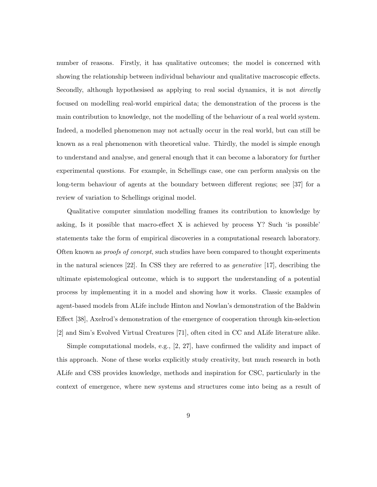number of reasons. Firstly, it has qualitative outcomes; the model is concerned with showing the relationship between individual behaviour and qualitative macroscopic effects. Secondly, although hypothesised as applying to real social dynamics, it is not *directly* focused on modelling real-world empirical data; the demonstration of the process is the main contribution to knowledge, not the modelling of the behaviour of a real world system. Indeed, a modelled phenomenon may not actually occur in the real world, but can still be known as a real phenomenon with theoretical value. Thirdly, the model is simple enough to understand and analyse, and general enough that it can become a laboratory for further experimental questions. For example, in Schellings case, one can perform analysis on the long-term behaviour of agents at the boundary between different regions; see [37] for a review of variation to Schellings original model.

Qualitative computer simulation modelling frames its contribution to knowledge by asking, Is it possible that macro-effect X is achieved by process Y? Such 'is possible' statements take the form of empirical discoveries in a computational research laboratory. Often known as *proofs of concept*, such studies have been compared to thought experiments in the natural sciences [22]. In CSS they are referred to as generative [17], describing the ultimate epistemological outcome, which is to support the understanding of a potential process by implementing it in a model and showing how it works. Classic examples of agent-based models from ALife include Hinton and Nowlan's demonstration of the Baldwin Effect [38], Axelrod's demonstration of the emergence of cooperation through kin-selection [2] and Sim's Evolved Virtual Creatures [71], often cited in CC and ALife literature alike.

Simple computational models, e.g., [2, 27], have confirmed the validity and impact of this approach. None of these works explicitly study creativity, but much research in both ALife and CSS provides knowledge, methods and inspiration for CSC, particularly in the context of emergence, where new systems and structures come into being as a result of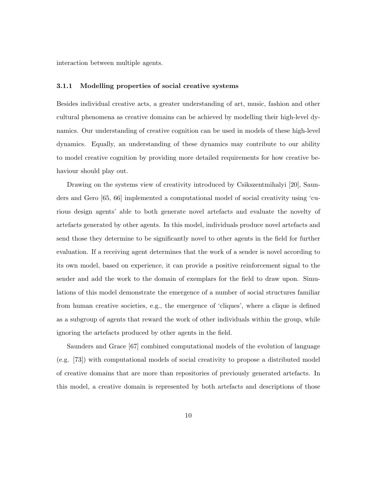interaction between multiple agents.

#### 3.1.1 Modelling properties of social creative systems

Besides individual creative acts, a greater understanding of art, music, fashion and other cultural phenomena as creative domains can be achieved by modelling their high-level dynamics. Our understanding of creative cognition can be used in models of these high-level dynamics. Equally, an understanding of these dynamics may contribute to our ability to model creative cognition by providing more detailed requirements for how creative behaviour should play out.

Drawing on the systems view of creativity introduced by Csikszentmihalyi [20], Saunders and Gero [65, 66] implemented a computational model of social creativity using 'curious design agents' able to both generate novel artefacts and evaluate the novelty of artefacts generated by other agents. In this model, individuals produce novel artefacts and send those they determine to be significantly novel to other agents in the field for further evaluation. If a receiving agent determines that the work of a sender is novel according to its own model, based on experience, it can provide a positive reinforcement signal to the sender and add the work to the domain of exemplars for the field to draw upon. Simulations of this model demonstrate the emergence of a number of social structures familiar from human creative societies, e.g., the emergence of 'cliques', where a clique is defined as a subgroup of agents that reward the work of other individuals within the group, while ignoring the artefacts produced by other agents in the field.

Saunders and Grace [67] combined computational models of the evolution of language (e.g. [73]) with computational models of social creativity to propose a distributed model of creative domains that are more than repositories of previously generated artefacts. In this model, a creative domain is represented by both artefacts and descriptions of those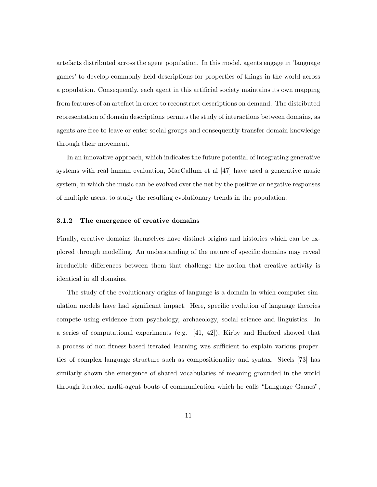artefacts distributed across the agent population. In this model, agents engage in 'language games' to develop commonly held descriptions for properties of things in the world across a population. Consequently, each agent in this artificial society maintains its own mapping from features of an artefact in order to reconstruct descriptions on demand. The distributed representation of domain descriptions permits the study of interactions between domains, as agents are free to leave or enter social groups and consequently transfer domain knowledge through their movement.

In an innovative approach, which indicates the future potential of integrating generative systems with real human evaluation, MacCallum et al [47] have used a generative music system, in which the music can be evolved over the net by the positive or negative responses of multiple users, to study the resulting evolutionary trends in the population.

#### 3.1.2 The emergence of creative domains

Finally, creative domains themselves have distinct origins and histories which can be explored through modelling. An understanding of the nature of specific domains may reveal irreducible differences between them that challenge the notion that creative activity is identical in all domains.

The study of the evolutionary origins of language is a domain in which computer simulation models have had significant impact. Here, specific evolution of language theories compete using evidence from psychology, archaeology, social science and linguistics. In a series of computational experiments (e.g. [41, 42]), Kirby and Hurford showed that a process of non-fitness-based iterated learning was sufficient to explain various properties of complex language structure such as compositionality and syntax. Steels [73] has similarly shown the emergence of shared vocabularies of meaning grounded in the world through iterated multi-agent bouts of communication which he calls "Language Games",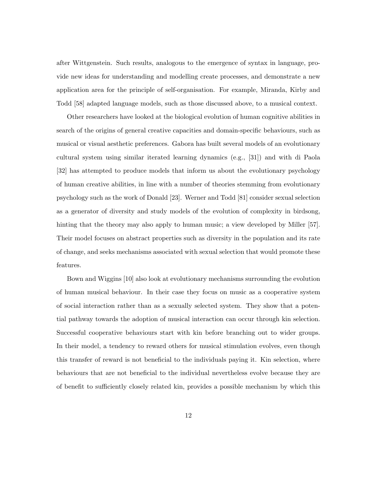after Wittgenstein. Such results, analogous to the emergence of syntax in language, provide new ideas for understanding and modelling create processes, and demonstrate a new application area for the principle of self-organisation. For example, Miranda, Kirby and Todd [58] adapted language models, such as those discussed above, to a musical context.

Other researchers have looked at the biological evolution of human cognitive abilities in search of the origins of general creative capacities and domain-specific behaviours, such as musical or visual aesthetic preferences. Gabora has built several models of an evolutionary cultural system using similar iterated learning dynamics (e.g., [31]) and with di Paola [32] has attempted to produce models that inform us about the evolutionary psychology of human creative abilities, in line with a number of theories stemming from evolutionary psychology such as the work of Donald [23]. Werner and Todd [81] consider sexual selection as a generator of diversity and study models of the evolution of complexity in birdsong, hinting that the theory may also apply to human music; a view developed by Miller [57]. Their model focuses on abstract properties such as diversity in the population and its rate of change, and seeks mechanisms associated with sexual selection that would promote these features.

Bown and Wiggins [10] also look at evolutionary mechanisms surrounding the evolution of human musical behaviour. In their case they focus on music as a cooperative system of social interaction rather than as a sexually selected system. They show that a potential pathway towards the adoption of musical interaction can occur through kin selection. Successful cooperative behaviours start with kin before branching out to wider groups. In their model, a tendency to reward others for musical stimulation evolves, even though this transfer of reward is not beneficial to the individuals paying it. Kin selection, where behaviours that are not beneficial to the individual nevertheless evolve because they are of benefit to sufficiently closely related kin, provides a possible mechanism by which this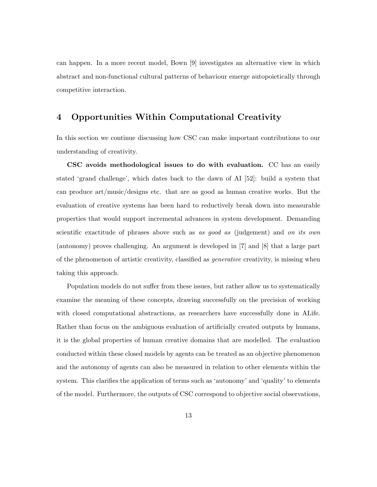can happen. In a more recent model, Bown [9] investigates an alternative view in which abstract and non-functional cultural patterns of behaviour emerge autopoietically through competitive interaction.

# 4 Opportunities Within Computational Creativity

In this section we continue discussing how CSC can make important contributions to our understanding of creativity.

CSC avoids methodological issues to do with evaluation. CC has an easily stated 'grand challenge', which dates back to the dawn of AI [52]: build a system that can produce art/music/designs etc. that are as good as human creative works. But the evaluation of creative systems has been hard to reductively break down into measurable properties that would support incremental advances in system development. Demanding scientific exactitude of phrases above such as as good as (judgement) and on its own (autonomy) proves challenging. An argument is developed in [7] and [8] that a large part of the phenomenon of artistic creativity, classified as generative creativity, is missing when taking this approach.

Population models do not suffer from these issues, but rather allow us to systematically examine the meaning of these concepts, drawing successfully on the precision of working with closed computational abstractions, as researchers have successfully done in ALife. Rather than focus on the ambiguous evaluation of artificially created outputs by humans, it is the global properties of human creative domains that are modelled. The evaluation conducted within these closed models by agents can be treated as an objective phenomenon and the autonomy of agents can also be measured in relation to other elements within the system. This clarifies the application of terms such as 'autonomy' and 'quality' to elements of the model. Furthermore, the outputs of CSC correspond to objective social observations,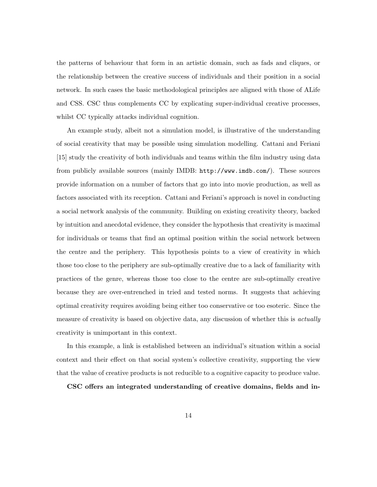the patterns of behaviour that form in an artistic domain, such as fads and cliques, or the relationship between the creative success of individuals and their position in a social network. In such cases the basic methodological principles are aligned with those of ALife and CSS. CSC thus complements CC by explicating super-individual creative processes, whilst CC typically attacks individual cognition.

An example study, albeit not a simulation model, is illustrative of the understanding of social creativity that may be possible using simulation modelling. Cattani and Feriani [15] study the creativity of both individuals and teams within the film industry using data from publicly available sources (mainly IMDB: http://www.imdb.com/). These sources provide information on a number of factors that go into into movie production, as well as factors associated with its reception. Cattani and Feriani's approach is novel in conducting a social network analysis of the community. Building on existing creativity theory, backed by intuition and anecdotal evidence, they consider the hypothesis that creativity is maximal for individuals or teams that find an optimal position within the social network between the centre and the periphery. This hypothesis points to a view of creativity in which those too close to the periphery are sub-optimally creative due to a lack of familiarity with practices of the genre, whereas those too close to the centre are sub-optimally creative because they are over-entrenched in tried and tested norms. It suggests that achieving optimal creativity requires avoiding being either too conservative or too esoteric. Since the measure of creativity is based on objective data, any discussion of whether this is *actually* creativity is unimportant in this context.

In this example, a link is established between an individual's situation within a social context and their effect on that social system's collective creativity, supporting the view that the value of creative products is not reducible to a cognitive capacity to produce value.

CSC offers an integrated understanding of creative domains, fields and in-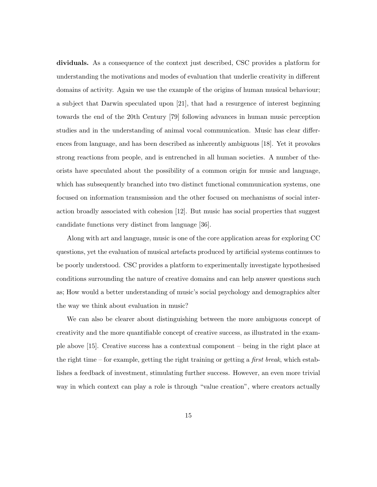dividuals. As a consequence of the context just described, CSC provides a platform for understanding the motivations and modes of evaluation that underlie creativity in different domains of activity. Again we use the example of the origins of human musical behaviour; a subject that Darwin speculated upon [21], that had a resurgence of interest beginning towards the end of the 20th Century [79] following advances in human music perception studies and in the understanding of animal vocal communication. Music has clear differences from language, and has been described as inherently ambiguous [18]. Yet it provokes strong reactions from people, and is entrenched in all human societies. A number of theorists have speculated about the possibility of a common origin for music and language, which has subsequently branched into two distinct functional communication systems, one focused on information transmission and the other focused on mechanisms of social interaction broadly associated with cohesion [12]. But music has social properties that suggest candidate functions very distinct from language [36].

Along with art and language, music is one of the core application areas for exploring CC questions, yet the evaluation of musical artefacts produced by artificial systems continues to be poorly understood. CSC provides a platform to experimentally investigate hypothesised conditions surrounding the nature of creative domains and can help answer questions such as; How would a better understanding of music's social psychology and demographics alter the way we think about evaluation in music?

We can also be clearer about distinguishing between the more ambiguous concept of creativity and the more quantifiable concept of creative success, as illustrated in the example above [15]. Creative success has a contextual component – being in the right place at the right time – for example, getting the right training or getting a *first break*, which establishes a feedback of investment, stimulating further success. However, an even more trivial way in which context can play a role is through "value creation", where creators actually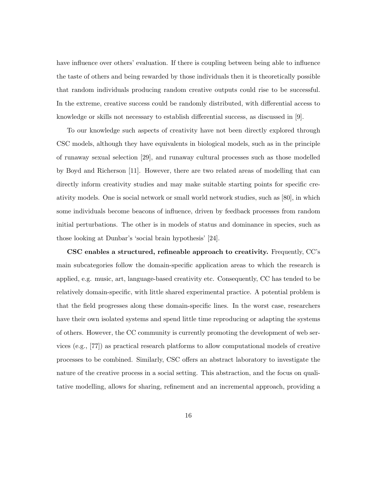have influence over others' evaluation. If there is coupling between being able to influence the taste of others and being rewarded by those individuals then it is theoretically possible that random individuals producing random creative outputs could rise to be successful. In the extreme, creative success could be randomly distributed, with differential access to knowledge or skills not necessary to establish differential success, as discussed in [9].

To our knowledge such aspects of creativity have not been directly explored through CSC models, although they have equivalents in biological models, such as in the principle of runaway sexual selection [29], and runaway cultural processes such as those modelled by Boyd and Richerson [11]. However, there are two related areas of modelling that can directly inform creativity studies and may make suitable starting points for specific creativity models. One is social network or small world network studies, such as [80], in which some individuals become beacons of influence, driven by feedback processes from random initial perturbations. The other is in models of status and dominance in species, such as those looking at Dunbar's 'social brain hypothesis' [24].

CSC enables a structured, refineable approach to creativity. Frequently, CC's main subcategories follow the domain-specific application areas to which the research is applied, e.g. music, art, language-based creativity etc. Consequently, CC has tended to be relatively domain-specific, with little shared experimental practice. A potential problem is that the field progresses along these domain-specific lines. In the worst case, researchers have their own isolated systems and spend little time reproducing or adapting the systems of others. However, the CC community is currently promoting the development of web services (e.g., [77]) as practical research platforms to allow computational models of creative processes to be combined. Similarly, CSC offers an abstract laboratory to investigate the nature of the creative process in a social setting. This abstraction, and the focus on qualitative modelling, allows for sharing, refinement and an incremental approach, providing a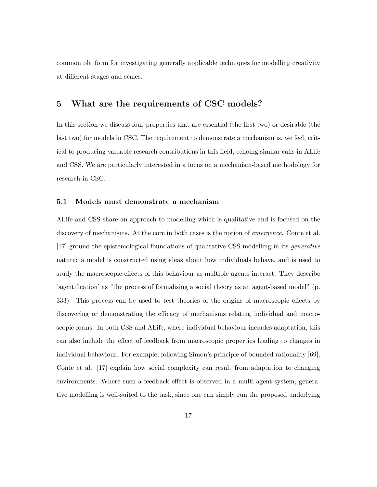common platform for investigating generally applicable techniques for modelling creativity at different stages and scales.

### 5 What are the requirements of CSC models?

In this section we discuss four properties that are essential (the first two) or desirable (the last two) for models in CSC. The requirement to demonstrate a mechanism is, we feel, critical to producing valuable research contributions in this field, echoing similar calls in ALife and CSS. We are particularly interested in a focus on a mechanism-based methodology for research in CSC.

### 5.1 Models must demonstrate a mechanism

ALife and CSS share an approach to modelling which is qualitative and is focused on the discovery of mechanisms. At the core in both cases is the notion of *emergence*. Conte et al. [17] ground the epistemological foundations of qualitative CSS modelling in its generative nature: a model is constructed using ideas about how individuals behave, and is used to study the macroscopic effects of this behaviour as multiple agents interact. They describe 'agentification' as "the process of formalising a social theory as an agent-based model" (p. 333). This process can be used to test theories of the origins of macroscopic effects by discovering or demonstrating the efficacy of mechanisms relating individual and macroscopic forms. In both CSS and ALife, where individual behaviour includes adaptation, this can also include the effect of feedback from macroscopic properties leading to changes in individual behaviour. For example, following Simon's principle of bounded rationality [69], Conte et al. [17] explain how social complexity can result from adaptation to changing environments. Where such a feedback effect is observed in a multi-agent system, generative modelling is well-suited to the task, since one can simply run the proposed underlying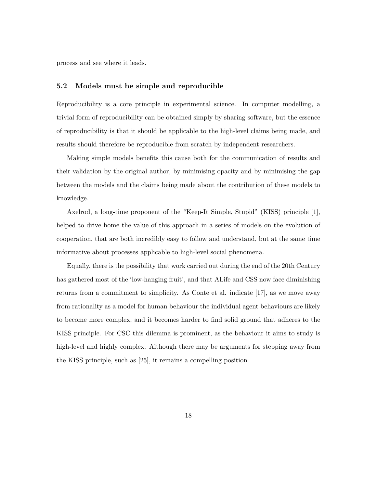process and see where it leads.

### 5.2 Models must be simple and reproducible

Reproducibility is a core principle in experimental science. In computer modelling, a trivial form of reproducibility can be obtained simply by sharing software, but the essence of reproducibility is that it should be applicable to the high-level claims being made, and results should therefore be reproducible from scratch by independent researchers.

Making simple models benefits this cause both for the communication of results and their validation by the original author, by minimising opacity and by minimising the gap between the models and the claims being made about the contribution of these models to knowledge.

Axelrod, a long-time proponent of the "Keep-It Simple, Stupid" (KISS) principle [1], helped to drive home the value of this approach in a series of models on the evolution of cooperation, that are both incredibly easy to follow and understand, but at the same time informative about processes applicable to high-level social phenomena.

Equally, there is the possibility that work carried out during the end of the 20th Century has gathered most of the 'low-hanging fruit', and that ALife and CSS now face diminishing returns from a commitment to simplicity. As Conte et al. indicate [17], as we move away from rationality as a model for human behaviour the individual agent behaviours are likely to become more complex, and it becomes harder to find solid ground that adheres to the KISS principle. For CSC this dilemma is prominent, as the behaviour it aims to study is high-level and highly complex. Although there may be arguments for stepping away from the KISS principle, such as [25], it remains a compelling position.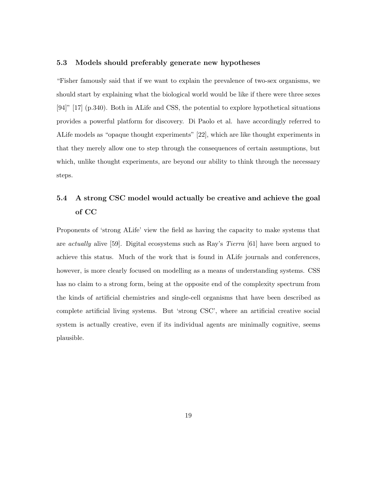### 5.3 Models should preferably generate new hypotheses

"Fisher famously said that if we want to explain the prevalence of two-sex organisms, we should start by explaining what the biological world would be like if there were three sexes [94]" [17] (p.340). Both in ALife and CSS, the potential to explore hypothetical situations provides a powerful platform for discovery. Di Paolo et al. have accordingly referred to ALife models as "opaque thought experiments" [22], which are like thought experiments in that they merely allow one to step through the consequences of certain assumptions, but which, unlike thought experiments, are beyond our ability to think through the necessary steps.

# 5.4 A strong CSC model would actually be creative and achieve the goal of CC

Proponents of 'strong ALife' view the field as having the capacity to make systems that are *actually* alive [59]. Digital ecosystems such as Ray's *Tierra* [61] have been argued to achieve this status. Much of the work that is found in ALife journals and conferences, however, is more clearly focused on modelling as a means of understanding systems. CSS has no claim to a strong form, being at the opposite end of the complexity spectrum from the kinds of artificial chemistries and single-cell organisms that have been described as complete artificial living systems. But 'strong CSC', where an artificial creative social system is actually creative, even if its individual agents are minimally cognitive, seems plausible.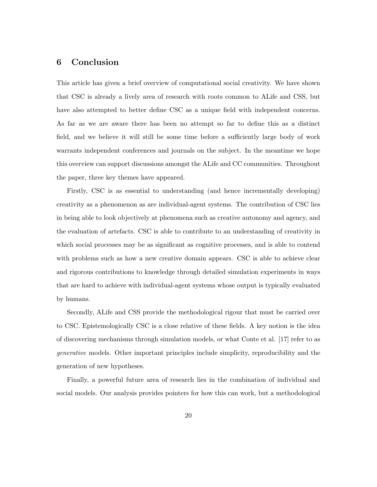## 6 Conclusion

This article has given a brief overview of computational social creativity. We have shown that CSC is already a lively area of research with roots common to ALife and CSS, but have also attempted to better define CSC as a unique field with independent concerns. As far as we are aware there has been no attempt so far to define this as a distinct field, and we believe it will still be some time before a sufficiently large body of work warrants independent conferences and journals on the subject. In the meantime we hope this overview can support discussions amongst the ALife and CC communities. Throughout the paper, three key themes have appeared.

Firstly, CSC is as essential to understanding (and hence incrementally developing) creativity as a phenomenon as are individual-agent systems. The contribution of CSC lies in being able to look objectively at phenomena such as creative autonomy and agency, and the evaluation of artefacts. CSC is able to contribute to an understanding of creativity in which social processes may be as significant as cognitive processes, and is able to contend with problems such as how a new creative domain appears. CSC is able to achieve clear and rigorous contributions to knowledge through detailed simulation experiments in ways that are hard to achieve with individual-agent systems whose output is typically evaluated by humans.

Secondly, ALife and CSS provide the methodological rigour that must be carried over to CSC. Epistemologically CSC is a close relative of these fields. A key notion is the idea of discovering mechanisms through simulation models, or what Conte et al. [17] refer to as generative models. Other important principles include simplicity, reproducibility and the generation of new hypotheses.

Finally, a powerful future area of research lies in the combination of individual and social models. Our analysis provides pointers for how this can work, but a methodological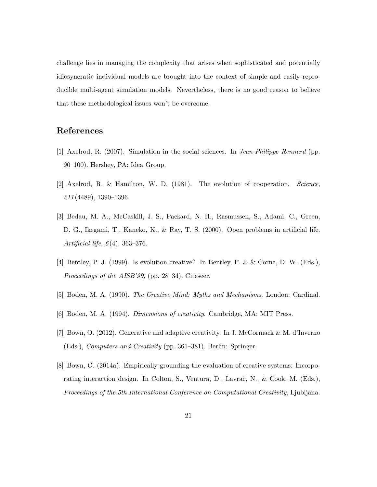challenge lies in managing the complexity that arises when sophisticated and potentially idiosyncratic individual models are brought into the context of simple and easily reproducible multi-agent simulation models. Nevertheless, there is no good reason to believe that these methodological issues won't be overcome.

# References

- [1] Axelrod, R. (2007). Simulation in the social sciences. In Jean-Philippe Rennard (pp. 90–100). Hershey, PA: Idea Group.
- [2] Axelrod, R. & Hamilton, W. D. (1981). The evolution of cooperation. Science, 211 (4489), 1390–1396.
- [3] Bedau, M. A., McCaskill, J. S., Packard, N. H., Rasmussen, S., Adami, C., Green, D. G., Ikegami, T., Kaneko, K., & Ray, T. S. (2000). Open problems in artificial life. Artificial life,  $6(4)$ , 363-376.
- [4] Bentley, P. J. (1999). Is evolution creative? In Bentley, P. J. & Corne, D. W. (Eds.), Proceedings of the AISB'99, (pp. 28–34). Citeseer.
- [5] Boden, M. A. (1990). The Creative Mind: Myths and Mechanisms. London: Cardinal.
- [6] Boden, M. A. (1994). Dimensions of creativity. Cambridge, MA: MIT Press.
- [7] Bown, O. (2012). Generative and adaptive creativity. In J. McCormack & M. d'Inverno (Eds.), Computers and Creativity (pp. 361–381). Berlin: Springer.
- [8] Bown, O. (2014a). Empirically grounding the evaluation of creative systems: Incorporating interaction design. In Colton, S., Ventura, D., Lavrač, N., & Cook, M. (Eds.), Proceedings of the 5th International Conference on Computational Creativity, Ljubljana.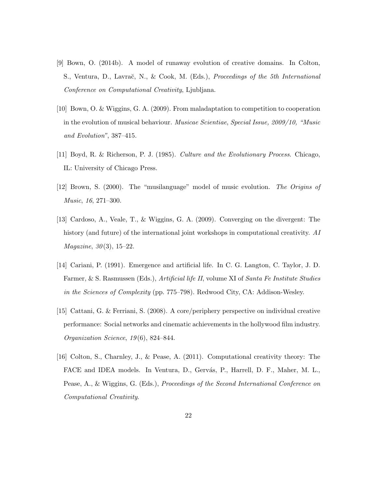- [9] Bown, O. (2014b). A model of runaway evolution of creative domains. In Colton, S., Ventura, D., Lavrač, N., & Cook, M. (Eds.), Proceedings of the 5th International Conference on Computational Creativity, Ljubljana.
- [10] Bown, O. & Wiggins, G. A. (2009). From maladaptation to competition to cooperation in the evolution of musical behaviour. Musicae Scientiae, Special Issue, 2009/10, "Music and Evolution", 387–415.
- [11] Boyd, R. & Richerson, P. J. (1985). Culture and the Evolutionary Process. Chicago, IL: University of Chicago Press.
- [12] Brown, S. (2000). The "musilanguage" model of music evolution. The Origins of Music, 16, 271–300.
- [13] Cardoso, A., Veale, T., & Wiggins, G. A. (2009). Converging on the divergent: The history (and future) of the international joint workshops in computational creativity. AI *Magazine*,  $30(3)$ ,  $15-22$ .
- [14] Cariani, P. (1991). Emergence and artificial life. In C. G. Langton, C. Taylor, J. D. Farmer, & S. Rasmussen (Eds.), Artificial life II, volume XI of Santa Fe Institute Studies in the Sciences of Complexity (pp. 775–798). Redwood City, CA: Addison-Wesley.
- [15] Cattani, G. & Ferriani, S. (2008). A core/periphery perspective on individual creative performance: Social networks and cinematic achievements in the hollywood film industry. Organization Science, 19 (6), 824–844.
- [16] Colton, S., Charnley, J., & Pease, A. (2011). Computational creativity theory: The FACE and IDEA models. In Ventura, D., Gervás, P., Harrell, D. F., Maher, M. L., Pease, A., & Wiggins, G. (Eds.), Proceedings of the Second International Conference on Computational Creativity.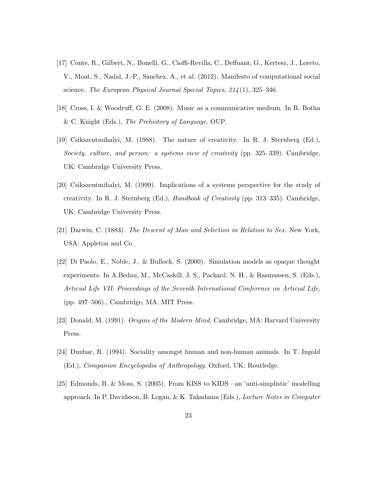- [17] Conte, R., Gilbert, N., Bonelli, G., Cioffi-Revilla, C., Deffuant, G., Kertesz, J., Loreto, V., Moat, S., Nadal, J.-P., Sanchez, A., et al. (2012). Manifesto of computational social science. The European Physical Journal Special Topics,  $214(1)$ , 325–346.
- [18] Cross, I. & Woodruff, G. E. (2008). Music as a communicative medium. In R. Botha & C. Knight (Eds.), The Prehistory of Language. OUP.
- [19] Csikszentmihalyi, M. (1988). The nature of creativity. In R. J. Sternberg (Ed.), Society, culture, and person: a systems view of creativity (pp. 325–339). Cambridge, UK: Cambridge University Press.
- [20] Csikszentmihalyi, M. (1999). Implications of a systems perspective for the study of creativity. In R. J. Sternberg (Ed.), Handbook of Creativity (pp. 313–335). Cambridge, UK: Cambridge University Press.
- [21] Darwin, C. (1883). The Descent of Man and Selection in Relation to Sex. New York, USA: Appleton and Co.
- [22] Di Paolo, E., Noble, J., & Bullock, S. (2000). Simulation models as opaque thought experiments. In A.Bedau, M., McCaskill, J. S., Packard, N. H., & Rasmussen, S. (Eds.), Articial Life VII: Proceedings of the Seventh International Conference on Articial Life, (pp. 497–506)., Cambridge, MA. MIT Press.
- [23] Donald, M. (1991). Origins of the Modern Mind. Cambridge, MA: Harvard University Press.
- [24] Dunbar, R. (1994). Sociality amongst human and non-human animals. In T. Ingold (Ed.), Companion Encyclopedia of Anthropology. Oxford, UK: Routledge.
- [25] Edmonds, B. & Moss, S. (2005). From KISS to KIDS—an 'anti-simplistic' modelling approach. In P. Davidsson, B. Logan, & K. Takadama (Eds.), Lecture Notes in Computer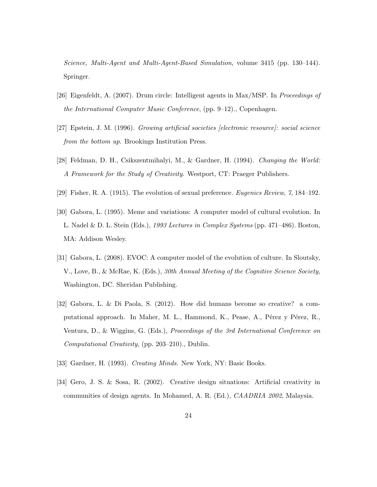Science, Multi-Agent and Multi-Agent-Based Simulation, volume 3415 (pp. 130–144). Springer.

- [26] Eigenfeldt, A. (2007). Drum circle: Intelligent agents in Max/MSP. In Proceedings of the International Computer Music Conference, (pp. 9–12)., Copenhagen.
- [27] Epstein, J. M. (1996). Growing artificial societies [electronic resource]: social science from the bottom up. Brookings Institution Press.
- [28] Feldman, D. H., Csikszentmihalyi, M., & Gardner, H. (1994). Changing the World: A Framework for the Study of Creativity. Westport, CT: Praeger Publishers.
- [29] Fisher, R. A. (1915). The evolution of sexual preference. Eugenics Review, 7, 184–192.
- [30] Gabora, L. (1995). Meme and variations: A computer model of cultural evolution. In L. Nadel & D. L. Stein (Eds.), 1993 Lectures in Complex Systems (pp. 471–486). Boston, MA: Addison Wesley.
- [31] Gabora, L. (2008). EVOC: A computer model of the evolution of culture. In Sloutsky, V., Love, B., & McRae, K. (Eds.), 30th Annual Meeting of the Cognitive Science Society, Washington, DC. Sheridan Publishing.
- [32] Gabora, L. & Di Paola, S. (2012). How did humans become so creative? a computational approach. In Maher, M. L., Hammond, K., Pease, A., Pérez y Pérez, R., Ventura, D., & Wiggins, G. (Eds.), Proceedings of the 3rd International Conference on Computational Creativity, (pp. 203–210)., Dublin.
- [33] Gardner, H. (1993). *Creating Minds*. New York, NY: Basic Books.
- [34] Gero, J. S. & Sosa, R. (2002). Creative design situations: Artificial creativity in communities of design agents. In Mohamed, A. R. (Ed.), CAADRIA 2002, Malaysia.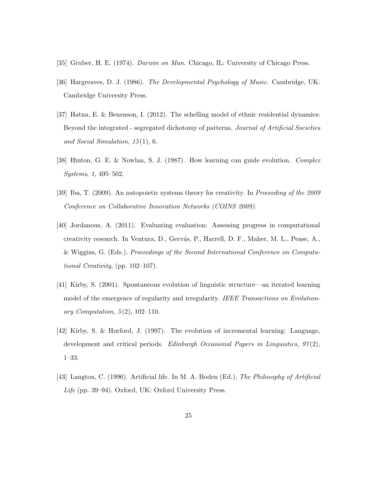- [35] Gruber, H. E. (1974). Darwin on Man. Chicago, IL: University of Chicago Press.
- [36] Hargreaves, D. J. (1986). The Developmental Psychology of Music. Cambridge, UK: Cambridge University Press.
- [37] Hatna, E. & Benenson, I. (2012). The schelling model of ethnic residential dynamics: Beyond the integrated - segregated dichotomy of patterns. Journal of Artificial Societies and Social Simulation,  $15(1)$ , 6.
- [38] Hinton, G. E. & Nowlan, S. J. (1987). How learning can guide evolution. Complex Systems, 1, 495–502.
- [39] Iba, T. (2009). An autopoietic systems theory for creativity. In Proceeding of the 2009 Conference on Collaborative Innovation Networks (COINS 2009).
- [40] Jordanous, A. (2011). Evaluating evaluation: Assessing progress in computational creativity research. In Ventura, D., Gervás, P., Harrell, D. F., Maher, M. L., Pease, A., & Wiggins, G. (Eds.), Proceedings of the Second International Conference on Computational Creativity, (pp. 102–107).
- [41] Kirby, S. (2001). Spontaneous evolution of linguistic structure—an iterated learning model of the emergence of regularity and irregularity. IEEE Transactions on Evolutionary Computation,  $5(2)$ , 102-110.
- [42] Kirby, S. & Hurford, J. (1997). The evolution of incremental learning: Language, development and critical periods. Edinburgh Occasional Papers in Linguistics,  $97(2)$ , 1–33.
- [43] Langton, C. (1996). Artificial life. In M. A. Boden (Ed.), The Philosophy of Artificial Life (pp. 39–94). Oxford, UK: Oxford University Press.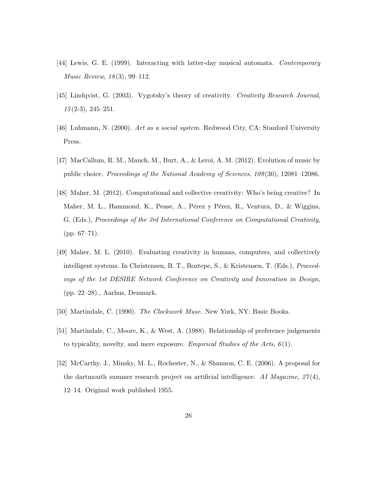- [44] Lewis, G. E. (1999). Interacting with latter-day musical automata. Contemporary Music Review, 18 (3), 99–112.
- [45] Lindqvist, G. (2003). Vygotsky's theory of creativity. Creativity Research Journal,  $15(2-3), 245-251.$
- [46] Luhmann, N. (2000). Art as a social system. Redwood City, CA: Stanford University Press.
- [47] MacCallum, R. M., Mauch, M., Burt, A., & Leroi, A. M. (2012). Evolution of music by public choice. Proceedings of the National Academy of Sciences, 109 (30), 12081–12086.
- [48] Maher, M. (2012). Computational and collective creativity: Who's being creative? In Maher, M. L., Hammond, K., Pease, A., Pérez y Pérez, R., Ventura, D., & Wiggins, G. (Eds.), Proceedings of the 3rd International Conference on Computational Creativity, (pp. 67–71).
- [49] Maher, M. L. (2010). Evaluating creativity in humans, computers, and collectively intelligent systems. In Christensen, B. T., Boztepe, S., & Kristensen, T. (Eds.), Proceedings of the 1st DESIRE Network Conference on Creativity and Innovation in Design, (pp. 22–28)., Aarhus, Denmark.
- [50] Martindale, C. (1990). The Clockwork Muse. New York, NY: Basic Books.
- [51] Martindale, C., Moore, K., & West, A. (1988). Relationship of preference judgements to typicality, novelty, and mere exposure. Empirical Studies of the Arts,  $6(1)$ .
- [52] McCarthy, J., Minsky, M. L., Rochester, N., & Shannon, C. E. (2006). A proposal for the dartmouth summer research project on artificial intelligence. AI Magazine,  $27(4)$ , 12–14. Original work published 1955.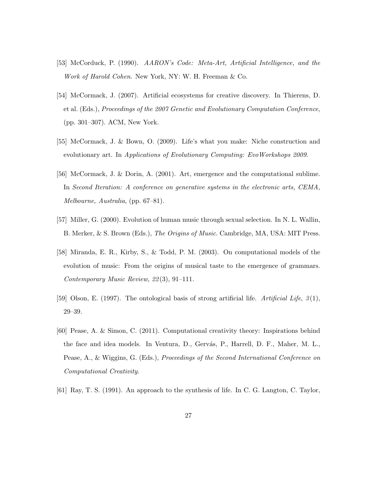- [53] McCorduck, P. (1990). AARON's Code: Meta-Art, Artificial Intelligence, and the Work of Harold Cohen. New York, NY: W. H. Freeman & Co.
- [54] McCormack, J. (2007). Artificial ecosystems for creative discovery. In Thierens, D. et al. (Eds.), Proceedings of the 2007 Genetic and Evolutionary Computation Conference, (pp. 301–307). ACM, New York.
- [55] McCormack, J. & Bown, O. (2009). Life's what you make: Niche construction and evolutionary art. In Applications of Evolutionary Computing: EvoWorkshops 2009.
- [56] McCormack, J. & Dorin, A. (2001). Art, emergence and the computational sublime. In Second Iteration: A conference on generative systems in the electronic arts, CEMA, Melbourne, Australia, (pp. 67–81).
- [57] Miller, G. (2000). Evolution of human music through sexual selection. In N. L. Wallin, B. Merker, & S. Brown (Eds.), The Origins of Music. Cambridge, MA, USA: MIT Press.
- [58] Miranda, E. R., Kirby, S., & Todd, P. M. (2003). On computational models of the evolution of music: From the origins of musical taste to the emergence of grammars. Contemporary Music Review, 22 (3), 91–111.
- [59] Olson, E. (1997). The ontological basis of strong artificial life. Artificial Life,  $3(1)$ , 29–39.
- [60] Pease, A. & Simon, C. (2011). Computational creativity theory: Inspirations behind the face and idea models. In Ventura, D., Gervás, P., Harrell, D. F., Maher, M. L., Pease, A., & Wiggins, G. (Eds.), Proceedings of the Second International Conference on Computational Creativity.
- [61] Ray, T. S. (1991). An approach to the synthesis of life. In C. G. Langton, C. Taylor,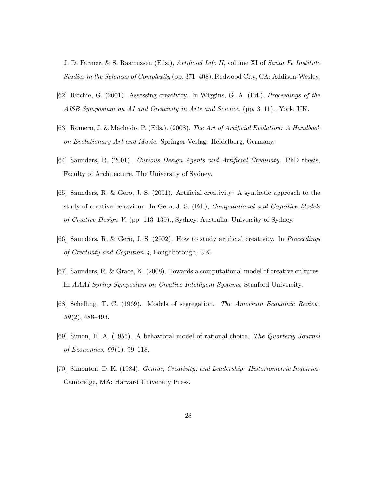J. D. Farmer, & S. Rasmussen (Eds.), Artificial Life II, volume XI of Santa Fe Institute Studies in the Sciences of Complexity (pp. 371–408). Redwood City, CA: Addison-Wesley.

- [62] Ritchie, G. (2001). Assessing creativity. In Wiggins, G. A. (Ed.), Proceedings of the AISB Symposium on AI and Creativity in Arts and Science, (pp. 3–11)., York, UK.
- [63] Romero, J. & Machado, P. (Eds.). (2008). The Art of Artificial Evolution: A Handbook on Evolutionary Art and Music. Springer-Verlag: Heidelberg, Germany.
- [64] Saunders, R. (2001). Curious Design Agents and Artificial Creativity. PhD thesis, Faculty of Architecture, The University of Sydney.
- [65] Saunders, R. & Gero, J. S. (2001). Artificial creativity: A synthetic approach to the study of creative behaviour. In Gero, J. S. (Ed.), *Computational and Cognitive Models* of Creative Design V, (pp. 113–139)., Sydney, Australia. University of Sydney.
- [66] Saunders, R. & Gero, J. S. (2002). How to study artificial creativity. In Proceedings of Creativity and Cognition 4, Loughborough, UK.
- [67] Saunders, R. & Grace, K. (2008). Towards a computational model of creative cultures. In AAAI Spring Symposium on Creative Intelligent Systems, Stanford University.
- [68] Schelling, T. C. (1969). Models of segregation. The American Economic Review,  $59(2)$ , 488-493.
- [69] Simon, H. A. (1955). A behavioral model of rational choice. The Quarterly Journal of Economics,  $69(1)$ , 99–118.
- [70] Simonton, D. K. (1984). Genius, Creativity, and Leadership: Historiometric Inquiries. Cambridge, MA: Harvard University Press.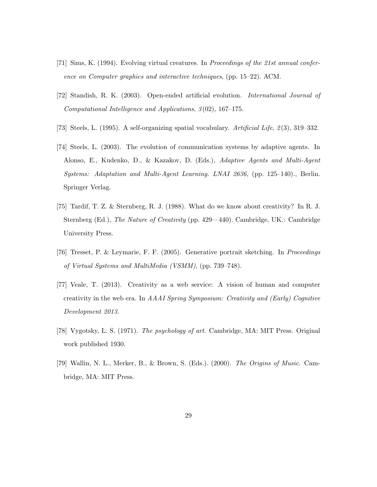- [71] Sims, K. (1994). Evolving virtual creatures. In Proceedings of the 21st annual conference on Computer graphics and interactive techniques, (pp. 15–22). ACM.
- [72] Standish, R. K. (2003). Open-ended artificial evolution. International Journal of Computational Intelligence and Applications, 3(02), 167-175.
- [73] Steels, L. (1995). A self-organizing spatial vocabulary. Artificial Life, 2 (3), 319–332.
- [74] Steels, L. (2003). The evolution of communication systems by adaptive agents. In Alonso, E., Kudenko, D., & Kazakov, D. (Eds.), Adaptive Agents and Multi-Agent Systems: Adaptation and Multi-Agent Learning. LNAI 2636, (pp. 125–140)., Berlin. Springer Verlag.
- [75] Tardif, T. Z. & Sternberg, R. J. (1988). What do we know about creativity? In R. J. Sternberg (Ed.), The Nature of Creativity (pp. 429—440). Cambridge, UK.: Cambridge University Press.
- [76] Tresset, P. & Leymarie, F. F. (2005). Generative portrait sketching. In Proceedings of Virtual Systems and MultiMedia (VSMM), (pp. 739–748).
- [77] Veale, T. (2013). Creativity as a web service: A vision of human and computer creativity in the web era. In AAAI Spring Symposium: Creativity and (Early) Cognitive Development 2013.
- [78] Vygotsky, L. S. (1971). The psychology of art. Cambridge, MA: MIT Press. Original work published 1930.
- [79] Wallin, N. L., Merker, B., & Brown, S. (Eds.). (2000). The Origins of Music. Cambridge, MA: MIT Press.